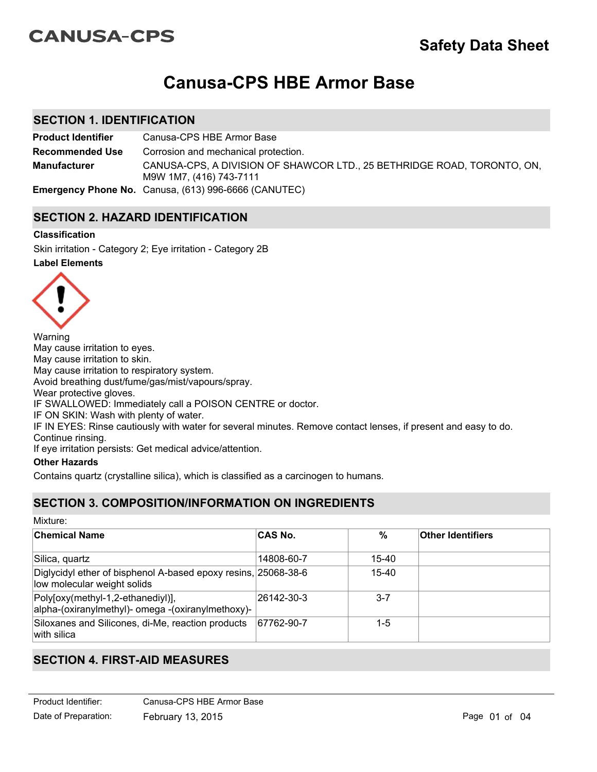# **CANUSA-CPS**

# **Canusa-CPS HBE Armor Base**

## **SECTION 1. IDENTIFICATION**

**Product Identifier** Canusa-CPS HBE Armor Base CANUSA-CPS, A DIVISION OF SHAWCOR LTD., 25 BETHRIDGE ROAD, TORONTO, ON, M9W 1M7, (416) 743-7111 **Recommended Use Emergency Phone No.** Canusa, (613) 996-6666 (CANUTEC) **Manufacturer** Corrosion and mechanical protection.

## **SECTION 2. HAZARD IDENTIFICATION**

## **Classification**

**Label Elements** Skin irritation - Category 2; Eye irritation - Category 2B



Warning May cause irritation to eyes. May cause irritation to skin. May cause irritation to respiratory system. Avoid breathing dust/fume/gas/mist/vapours/spray. Wear protective gloves. IF SWALLOWED: Immediately call a POISON CENTRE or doctor. IF ON SKIN: Wash with plenty of water. IF IN EYES: Rinse cautiously with water for several minutes. Remove contact lenses, if present and easy to do. Continue rinsing.

If eye irritation persists: Get medical advice/attention.

## **Other Hazards**

Contains quartz (crystalline silica), which is classified as a carcinogen to humans.

## **SECTION 3. COMPOSITION/INFORMATION ON INGREDIENTS**

Mixture:

| ∣Chemical Name                                                                                | <b>CAS No.</b> | %       | <b>Other Identifiers</b> |
|-----------------------------------------------------------------------------------------------|----------------|---------|--------------------------|
| Silica, quartz                                                                                | 14808-60-7     | 15-40   |                          |
| Diglycidyl ether of bisphenol A-based epoxy resins, 25068-38-6<br>low molecular weight solids |                | 15-40   |                          |
| Poly[oxy(methyl-1,2-ethanediyl)],<br>alpha-(oxiranylmethyl)- omega -(oxiranylmethoxy)-        | 26142-30-3     | $3 - 7$ |                          |
| Siloxanes and Silicones, di-Me, reaction products<br>$ $ with silica                          | 67762-90-7     | 1-5     |                          |

## **SECTION 4. FIRST-AID MEASURES**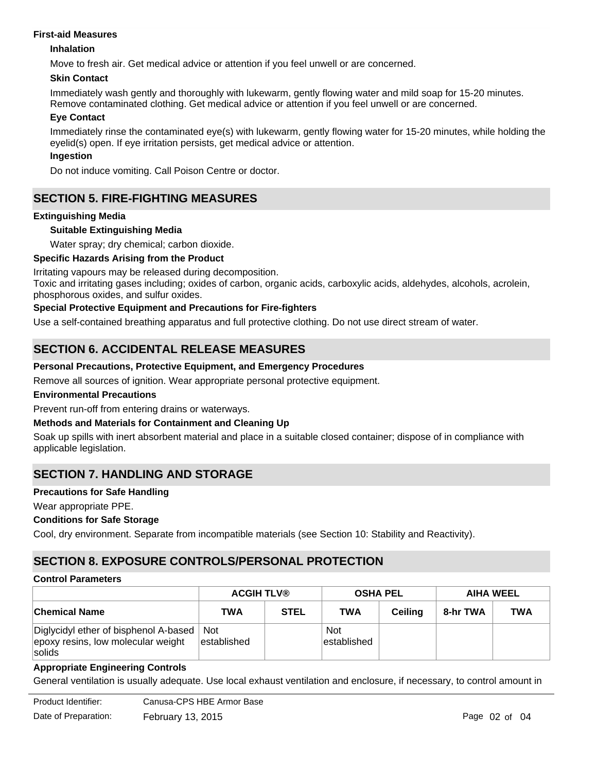#### **First-aid Measures**

#### **Inhalation**

Move to fresh air. Get medical advice or attention if you feel unwell or are concerned.

#### **Skin Contact**

Immediately wash gently and thoroughly with lukewarm, gently flowing water and mild soap for 15-20 minutes. Remove contaminated clothing. Get medical advice or attention if you feel unwell or are concerned.

#### **Eye Contact**

Immediately rinse the contaminated eye(s) with lukewarm, gently flowing water for 15-20 minutes, while holding the eyelid(s) open. If eye irritation persists, get medical advice or attention.

## **Ingestion**

Do not induce vomiting. Call Poison Centre or doctor.

## **SECTION 5. FIRE-FIGHTING MEASURES**

## **Extinguishing Media**

## **Suitable Extinguishing Media**

Water spray; dry chemical; carbon dioxide.

## **Specific Hazards Arising from the Product**

Irritating vapours may be released during decomposition.

Toxic and irritating gases including; oxides of carbon, organic acids, carboxylic acids, aldehydes, alcohols, acrolein, phosphorous oxides, and sulfur oxides.

## **Special Protective Equipment and Precautions for Fire-fighters**

Use a self-contained breathing apparatus and full protective clothing. Do not use direct stream of water.

## **SECTION 6. ACCIDENTAL RELEASE MEASURES**

## **Personal Precautions, Protective Equipment, and Emergency Procedures**

Remove all sources of ignition. Wear appropriate personal protective equipment.

#### **Environmental Precautions**

Prevent run-off from entering drains or waterways.

#### **Methods and Materials for Containment and Cleaning Up**

Soak up spills with inert absorbent material and place in a suitable closed container; dispose of in compliance with applicable legislation.

## **SECTION 7. HANDLING AND STORAGE**

#### **Precautions for Safe Handling**

Wear appropriate PPE.

#### **Conditions for Safe Storage**

Cool, dry environment. Separate from incompatible materials (see Section 10: Stability and Reactivity).

## **SECTION 8. EXPOSURE CONTROLS/PERSONAL PROTECTION**

#### **Control Parameters**

|                                                                                         | <b>ACGIH TLV®</b>         |             | <b>OSHA PEL</b>            |         | <b>AIHA WEEL</b> |            |
|-----------------------------------------------------------------------------------------|---------------------------|-------------|----------------------------|---------|------------------|------------|
| <b>Chemical Name</b>                                                                    | TWA                       | <b>STEL</b> | TWA                        | Ceilina | 8-hr TWA         | <b>TWA</b> |
| Diglycidyl ether of bisphenol A-based  <br>epoxy resins, low molecular weight<br>solids | <b>Not</b><br>established |             | <b>Not</b><br>lestablished |         |                  |            |

#### **Appropriate Engineering Controls**

General ventilation is usually adequate. Use local exhaust ventilation and enclosure, if necessary, to control amount in

Product Identifier: Date of Preparation: February 13, 2015 **Page 02 of 04** Page 02 of 04 Canusa-CPS HBE Armor Base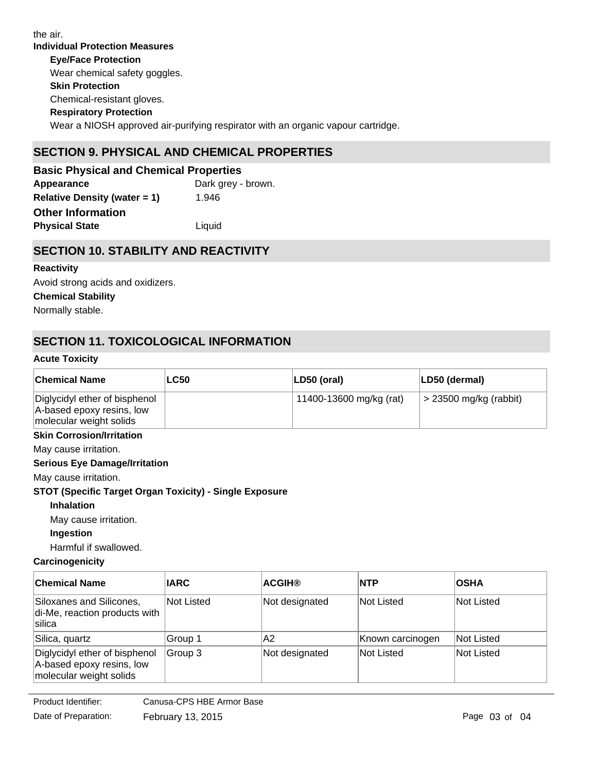**Individual Protection Measures Skin Protection Respiratory Protection Eye/Face Protection** Wear a NIOSH approved air-purifying respirator with an organic vapour cartridge. Chemical-resistant gloves. Wear chemical safety goggles. the air.

# **SECTION 9. PHYSICAL AND CHEMICAL PROPERTIES**

| <b>Basic Physical and Chemical Properties</b> |                    |  |  |
|-----------------------------------------------|--------------------|--|--|
| Appearance                                    | Dark grey - brown. |  |  |
| <b>Relative Density (water = 1)</b>           | 1.946              |  |  |
| <b>Other Information</b>                      |                    |  |  |
| <b>Physical State</b>                         | Liquid             |  |  |

## **SECTION 10. STABILITY AND REACTIVITY**

# **Reactivity** Avoid strong acids and oxidizers.

**Chemical Stability** Normally stable.

# **SECTION 11. TOXICOLOGICAL INFORMATION**

## **Acute Toxicity**

| <b>Chemical Name</b>                                                                  | <b>LC50</b> | LD50 (oral)             | LD50 (dermal)                  |
|---------------------------------------------------------------------------------------|-------------|-------------------------|--------------------------------|
| Diglycidyl ether of bisphenol<br>A-based epoxy resins, low<br>molecular weight solids |             | 11400-13600 mg/kg (rat) | $\approx$ 23500 mg/kg (rabbit) |

## **Skin Corrosion/Irritation**

May cause irritation.

## **Serious Eye Damage/Irritation**

May cause irritation.

## **STOT (Specific Target Organ Toxicity) - Single Exposure**

**Inhalation**

May cause irritation.

**Ingestion**

Harmful if swallowed.

## **Carcinogenicity**

| <b>IARC</b>                                 | <b>ACGIH®</b>  | <b>INTP</b>      | <b>OSHA</b>       |
|---------------------------------------------|----------------|------------------|-------------------|
| Not Listed<br>di-Me, reaction products with | Not designated | Not Listed       | Not Listed        |
| Group 1                                     | A2             | Known carcinogen | <b>Not Listed</b> |
| Group 3                                     | Not designated | Not Listed       | Not Listed        |
|                                             |                |                  |                   |